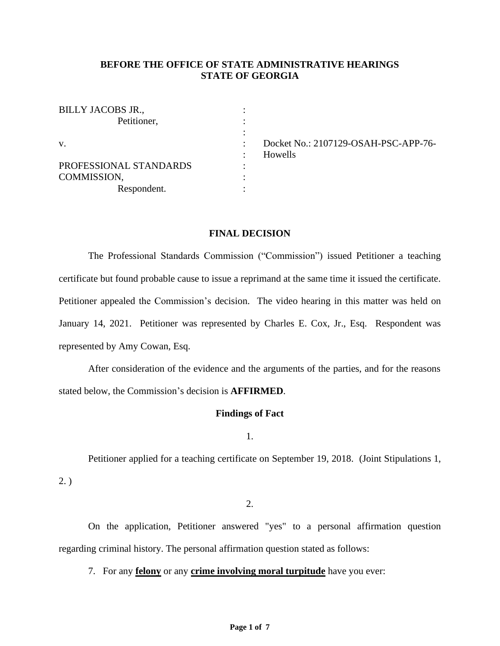# **BEFORE THE OFFICE OF STATE ADMINISTRATIVE HEARINGS STATE OF GEORGIA**

: : : : : : : :

| BILLY JACOBS JR.,      |
|------------------------|
| Petitioner,            |
|                        |
| $V_{\cdot}$            |
|                        |
| PROFESSIONAL STANDARDS |
| COMMISSION,            |
| Respondent.            |

Docket No.: 2107129-OSAH-PSC-APP-76- Howells

# **FINAL DECISION**

The Professional Standards Commission ("Commission") issued Petitioner a teaching certificate but found probable cause to issue a reprimand at the same time it issued the certificate. Petitioner appealed the Commission's decision. The video hearing in this matter was held on January 14, 2021. Petitioner was represented by Charles E. Cox, Jr., Esq. Respondent was represented by Amy Cowan, Esq.

After consideration of the evidence and the arguments of the parties, and for the reasons stated below, the Commission's decision is **AFFIRMED**.

### **Findings of Fact**

1.

Petitioner applied for a teaching certificate on September 19, 2018. (Joint Stipulations 1,

2. )

2.

On the application, Petitioner answered "yes" to a personal affirmation question regarding criminal history. The personal affirmation question stated as follows:

7. For any **felony** or any **crime involving moral turpitude** have you ever: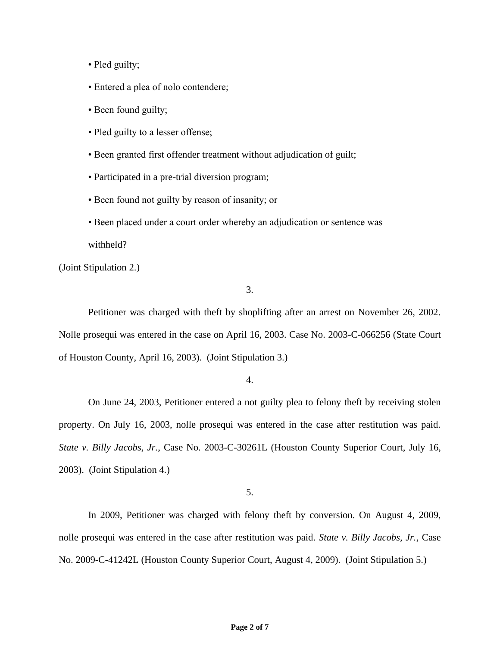- Pled guilty;
- Entered a plea of nolo contendere;
- Been found guilty;
- Pled guilty to a lesser offense;
- Been granted first offender treatment without adjudication of guilt;
- Participated in a pre-trial diversion program;
- Been found not guilty by reason of insanity; or
- Been placed under a court order whereby an adjudication or sentence was withheld?

(Joint Stipulation 2.)

3.

Petitioner was charged with theft by shoplifting after an arrest on November 26, 2002. Nolle prosequi was entered in the case on April 16, 2003. Case No. 2003-C-066256 (State Court of Houston County, April 16, 2003). (Joint Stipulation 3.)

4.

On June 24, 2003, Petitioner entered a not guilty plea to felony theft by receiving stolen property. On July 16, 2003, nolle prosequi was entered in the case after restitution was paid. *State v. Billy Jacobs, Jr.*, Case No. 2003-C-30261L (Houston County Superior Court, July 16, 2003). (Joint Stipulation 4.)

5.

In 2009, Petitioner was charged with felony theft by conversion. On August 4, 2009, nolle prosequi was entered in the case after restitution was paid. *State v. Billy Jacobs, Jr.*, Case No. 2009-C-41242L (Houston County Superior Court, August 4, 2009). (Joint Stipulation 5.)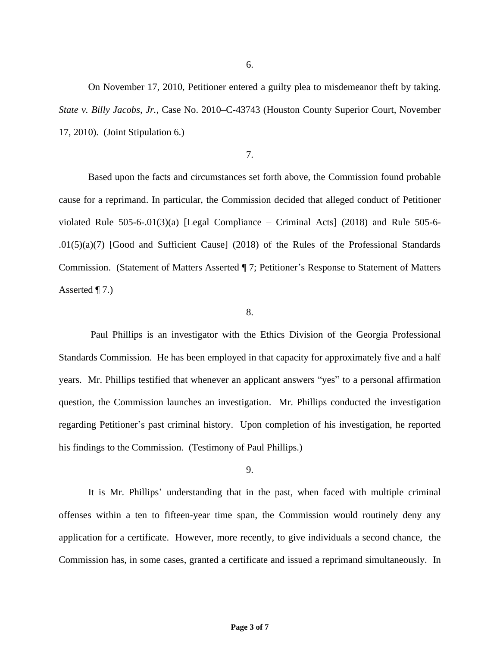6.

On November 17, 2010, Petitioner entered a guilty plea to misdemeanor theft by taking. *State v. Billy Jacobs, Jr.*, Case No. 2010–C-43743 (Houston County Superior Court, November 17, 2010). (Joint Stipulation 6.)

# 7.

Based upon the facts and circumstances set forth above, the Commission found probable cause for a reprimand. In particular, the Commission decided that alleged conduct of Petitioner violated Rule  $505-6-01(3)(a)$  [Legal Compliance – Criminal Acts] (2018) and Rule  $505-6-$ .01(5)(a)(7) [Good and Sufficient Cause] (2018) of the Rules of the Professional Standards Commission. (Statement of Matters Asserted ¶ 7; Petitioner's Response to Statement of Matters Asserted ¶ 7.)

#### 8.

Paul Phillips is an investigator with the Ethics Division of the Georgia Professional Standards Commission. He has been employed in that capacity for approximately five and a half years. Mr. Phillips testified that whenever an applicant answers "yes" to a personal affirmation question, the Commission launches an investigation. Mr. Phillips conducted the investigation regarding Petitioner's past criminal history. Upon completion of his investigation, he reported his findings to the Commission. (Testimony of Paul Phillips.)

#### 9.

It is Mr. Phillips' understanding that in the past, when faced with multiple criminal offenses within a ten to fifteen-year time span, the Commission would routinely deny any application for a certificate. However, more recently, to give individuals a second chance, the Commission has, in some cases, granted a certificate and issued a reprimand simultaneously. In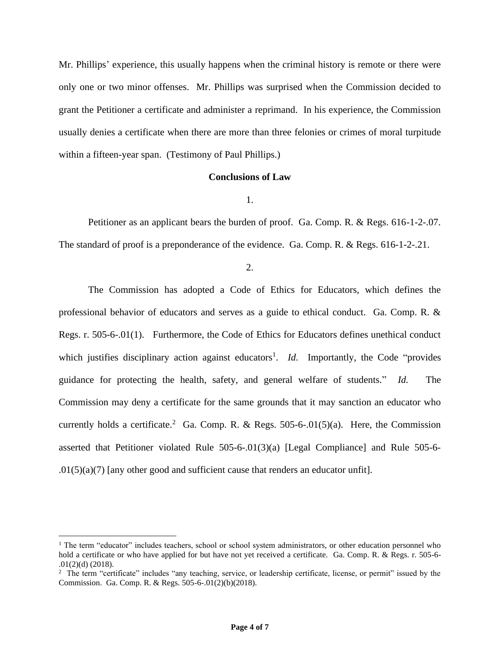Mr. Phillips' experience, this usually happens when the criminal history is remote or there were only one or two minor offenses. Mr. Phillips was surprised when the Commission decided to grant the Petitioner a certificate and administer a reprimand. In his experience, the Commission usually denies a certificate when there are more than three felonies or crimes of moral turpitude within a fifteen-year span. (Testimony of Paul Phillips.)

### **Conclusions of Law**

1.

Petitioner as an applicant bears the burden of proof. Ga. Comp. R. & Regs. 616-1-2-.07. The standard of proof is a preponderance of the evidence. Ga. Comp. R. & Regs. 616-1-2-.21.

2.

The Commission has adopted a Code of Ethics for Educators, which defines the professional behavior of educators and serves as a guide to ethical conduct. Ga. Comp. R. & Regs. r. 505-6-.01(1). Furthermore, the Code of Ethics for Educators defines unethical conduct which justifies disciplinary action against educators<sup>1</sup>. *Id*. Importantly, the Code "provides" guidance for protecting the health, safety, and general welfare of students." *Id.* The Commission may deny a certificate for the same grounds that it may sanction an educator who currently holds a certificate.<sup>2</sup> Ga. Comp. R. & Regs. 505-6-.01(5)(a). Here, the Commission asserted that Petitioner violated Rule 505-6-.01(3)(a) [Legal Compliance] and Rule 505-6-  $.01(5)(a)(7)$  [any other good and sufficient cause that renders an educator unfit].

<sup>&</sup>lt;sup>1</sup> The term "educator" includes teachers, school or school system administrators, or other education personnel who hold a certificate or who have applied for but have not yet received a certificate. Ga. Comp. R. & Regs. r. 505-6- .01(2)(d) (2018).

<sup>&</sup>lt;sup>2</sup> The term "certificate" includes "any teaching, service, or leadership certificate, license, or permit" issued by the Commission. Ga. Comp. R. & Regs. 505-6-.01(2)(b)(2018).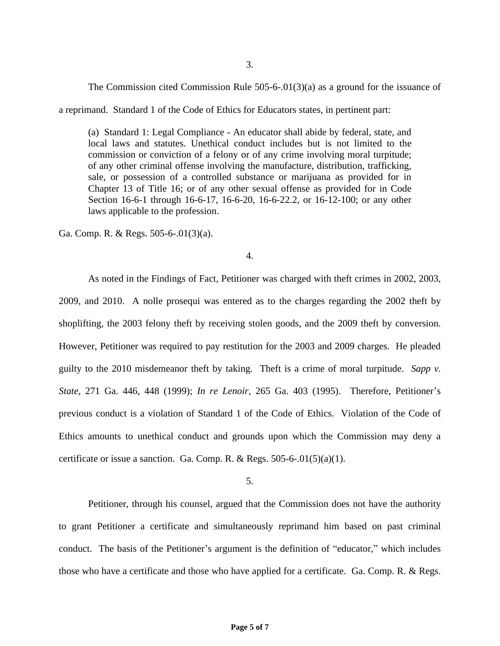The Commission cited Commission Rule 505-6-.01(3)(a) as a ground for the issuance of

a reprimand. Standard 1 of the Code of Ethics for Educators states, in pertinent part:

(a) Standard 1: Legal Compliance - An educator shall abide by federal, state, and local laws and statutes. Unethical conduct includes but is not limited to the commission or conviction of a felony or of any crime involving moral turpitude; of any other criminal offense involving the manufacture, distribution, trafficking, sale, or possession of a controlled substance or marijuana as provided for in Chapter 13 of Title 16; or of any other sexual offense as provided for in Code Section 16-6-1 through 16-6-17, 16-6-20, 16-6-22.2, or 16-12-100; or any other laws applicable to the profession.

Ga. Comp. R. & Regs. 505-6-.01(3)(a).

4.

As noted in the Findings of Fact, Petitioner was charged with theft crimes in 2002, 2003, 2009, and 2010. A nolle prosequi was entered as to the charges regarding the 2002 theft by shoplifting, the 2003 felony theft by receiving stolen goods, and the 2009 theft by conversion. However, Petitioner was required to pay restitution for the 2003 and 2009 charges. He pleaded guilty to the 2010 misdemeanor theft by taking. Theft is a crime of moral turpitude. *Sapp v. State*, 271 Ga. 446, 448 (1999); *In re Lenoir*, 265 Ga. 403 (1995). Therefore, Petitioner's previous conduct is a violation of Standard 1 of the Code of Ethics. Violation of the Code of Ethics amounts to unethical conduct and grounds upon which the Commission may deny a certificate or issue a sanction. Ga. Comp. R. & Regs.  $505-6-01(5)(a)(1)$ .

5.

Petitioner, through his counsel, argued that the Commission does not have the authority to grant Petitioner a certificate and simultaneously reprimand him based on past criminal conduct. The basis of the Petitioner's argument is the definition of "educator," which includes those who have a certificate and those who have applied for a certificate. Ga. Comp. R. & Regs.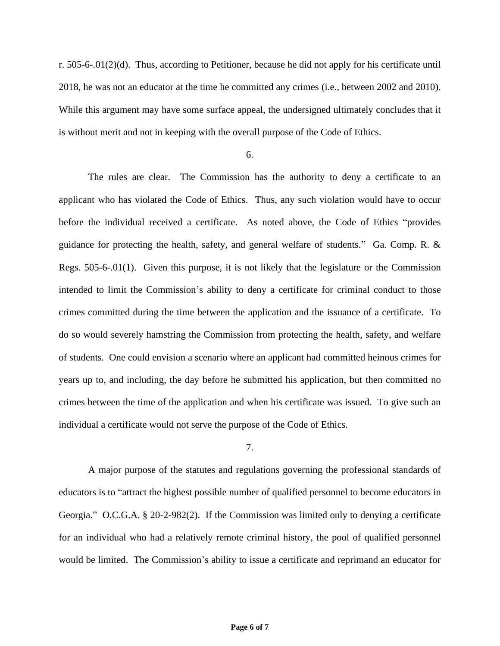r. 505-6-.01(2)(d). Thus, according to Petitioner, because he did not apply for his certificate until 2018, he was not an educator at the time he committed any crimes (i.e., between 2002 and 2010). While this argument may have some surface appeal, the undersigned ultimately concludes that it is without merit and not in keeping with the overall purpose of the Code of Ethics.

## 6.

The rules are clear. The Commission has the authority to deny a certificate to an applicant who has violated the Code of Ethics. Thus, any such violation would have to occur before the individual received a certificate. As noted above, the Code of Ethics "provides guidance for protecting the health, safety, and general welfare of students." Ga. Comp. R. & Regs. 505-6-.01(1). Given this purpose, it is not likely that the legislature or the Commission intended to limit the Commission's ability to deny a certificate for criminal conduct to those crimes committed during the time between the application and the issuance of a certificate. To do so would severely hamstring the Commission from protecting the health, safety, and welfare of students. One could envision a scenario where an applicant had committed heinous crimes for years up to, and including, the day before he submitted his application, but then committed no crimes between the time of the application and when his certificate was issued. To give such an individual a certificate would not serve the purpose of the Code of Ethics.

### 7.

A major purpose of the statutes and regulations governing the professional standards of educators is to "attract the highest possible number of qualified personnel to become educators in Georgia." O.C.G.A. § 20-2-982(2). If the Commission was limited only to denying a certificate for an individual who had a relatively remote criminal history, the pool of qualified personnel would be limited. The Commission's ability to issue a certificate and reprimand an educator for